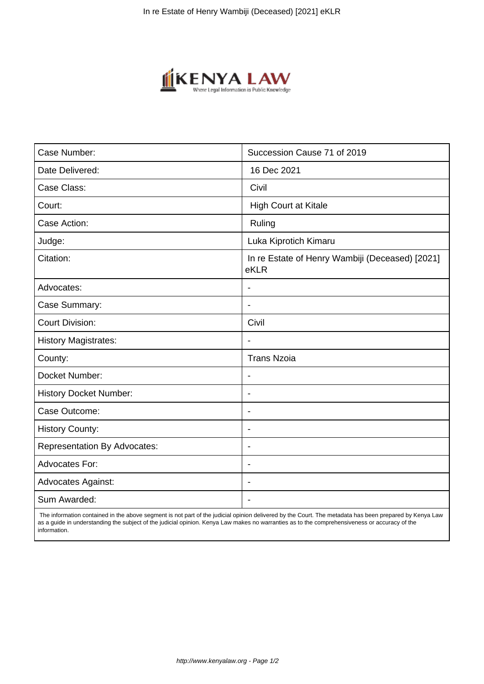

| Case Number:                        | Succession Cause 71 of 2019                             |
|-------------------------------------|---------------------------------------------------------|
| Date Delivered:                     | 16 Dec 2021                                             |
| Case Class:                         | Civil                                                   |
| Court:                              | <b>High Court at Kitale</b>                             |
| Case Action:                        | Ruling                                                  |
| Judge:                              | Luka Kiprotich Kimaru                                   |
| Citation:                           | In re Estate of Henry Wambiji (Deceased) [2021]<br>eKLR |
| Advocates:                          |                                                         |
| Case Summary:                       | $\blacksquare$                                          |
| <b>Court Division:</b>              | Civil                                                   |
| <b>History Magistrates:</b>         | $\blacksquare$                                          |
| County:                             | <b>Trans Nzoia</b>                                      |
| Docket Number:                      |                                                         |
| <b>History Docket Number:</b>       | $\blacksquare$                                          |
| Case Outcome:                       | $\overline{\phantom{0}}$                                |
| <b>History County:</b>              | $\blacksquare$                                          |
| <b>Representation By Advocates:</b> | $\blacksquare$                                          |
| Advocates For:                      | $\overline{\phantom{a}}$                                |
| <b>Advocates Against:</b>           | $\blacksquare$                                          |
| Sum Awarded:                        |                                                         |

 The information contained in the above segment is not part of the judicial opinion delivered by the Court. The metadata has been prepared by Kenya Law as a guide in understanding the subject of the judicial opinion. Kenya Law makes no warranties as to the comprehensiveness or accuracy of the information.